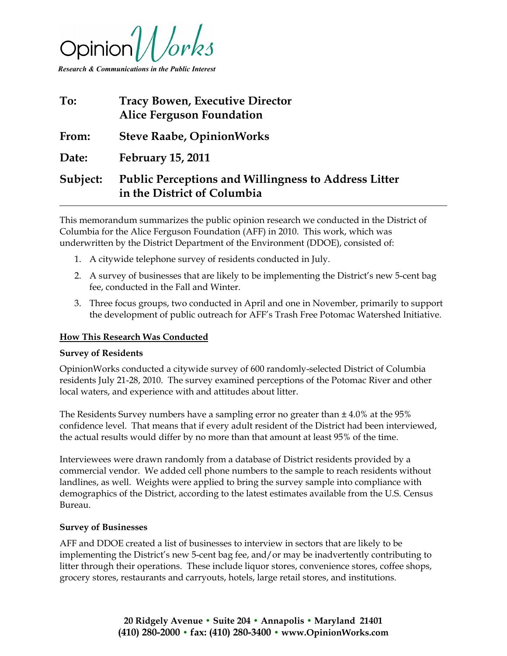

Research & Communications in the Public Interest

| To:      | <b>Tracy Bowen, Executive Director</b><br><b>Alice Ferguson Foundation</b>                 |
|----------|--------------------------------------------------------------------------------------------|
| From:    | <b>Steve Raabe, OpinionWorks</b>                                                           |
| Date:    | <b>February 15, 2011</b>                                                                   |
| Subject: | <b>Public Perceptions and Willingness to Address Litter</b><br>in the District of Columbia |

This memorandum summarizes the public opinion research we conducted in the District of Columbia for the Alice Ferguson Foundation (AFF) in 2010. This work, which was underwritten by the District Department of the Environment (DDOE), consisted of:

- 1. A citywide telephone survey of residents conducted in July.
- 2. A survey of businesses that are likely to be implementing the District's new 5-cent bag fee, conducted in the Fall and Winter.
- 3. Three focus groups, two conducted in April and one in November, primarily to support the development of public outreach for AFF's Trash Free Potomac Watershed Initiative.

#### How This Research Was Conducted

#### Survey of Residents

OpinionWorks conducted a citywide survey of 600 randomly-selected District of Columbia residents July 21-28, 2010. The survey examined perceptions of the Potomac River and other local waters, and experience with and attitudes about litter.

The Residents Survey numbers have a sampling error no greater than  $\pm 4.0\%$  at the 95% confidence level. That means that if every adult resident of the District had been interviewed, the actual results would differ by no more than that amount at least 95% of the time.

Interviewees were drawn randomly from a database of District residents provided by a commercial vendor. We added cell phone numbers to the sample to reach residents without landlines, as well. Weights were applied to bring the survey sample into compliance with demographics of the District, according to the latest estimates available from the U.S. Census Bureau.

#### Survey of Businesses

AFF and DDOE created a list of businesses to interview in sectors that are likely to be implementing the District's new 5-cent bag fee, and/or may be inadvertently contributing to litter through their operations. These include liquor stores, convenience stores, coffee shops, grocery stores, restaurants and carryouts, hotels, large retail stores, and institutions.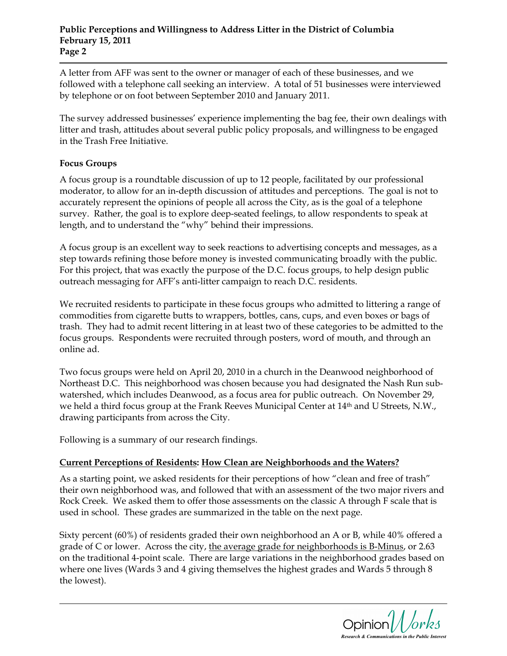### Public Perceptions and Willingness to Address Litter in the District of Columbia February 15, 2011 Page 2

A letter from AFF was sent to the owner or manager of each of these businesses, and we followed with a telephone call seeking an interview. A total of 51 businesses were interviewed by telephone or on foot between September 2010 and January 2011.

The survey addressed businesses' experience implementing the bag fee, their own dealings with litter and trash, attitudes about several public policy proposals, and willingness to be engaged in the Trash Free Initiative.

# Focus Groups

A focus group is a roundtable discussion of up to 12 people, facilitated by our professional moderator, to allow for an in-depth discussion of attitudes and perceptions. The goal is not to accurately represent the opinions of people all across the City, as is the goal of a telephone survey. Rather, the goal is to explore deep-seated feelings, to allow respondents to speak at length, and to understand the "why" behind their impressions.

A focus group is an excellent way to seek reactions to advertising concepts and messages, as a step towards refining those before money is invested communicating broadly with the public. For this project, that was exactly the purpose of the D.C. focus groups, to help design public outreach messaging for AFF's anti-litter campaign to reach D.C. residents.

We recruited residents to participate in these focus groups who admitted to littering a range of commodities from cigarette butts to wrappers, bottles, cans, cups, and even boxes or bags of trash. They had to admit recent littering in at least two of these categories to be admitted to the focus groups. Respondents were recruited through posters, word of mouth, and through an online ad.

Two focus groups were held on April 20, 2010 in a church in the Deanwood neighborhood of Northeast D.C. This neighborhood was chosen because you had designated the Nash Run subwatershed, which includes Deanwood, as a focus area for public outreach. On November 29, we held a third focus group at the Frank Reeves Municipal Center at 14th and U Streets, N.W., drawing participants from across the City.

Following is a summary of our research findings.

# Current Perceptions of Residents: How Clean are Neighborhoods and the Waters?

As a starting point, we asked residents for their perceptions of how "clean and free of trash" their own neighborhood was, and followed that with an assessment of the two major rivers and Rock Creek. We asked them to offer those assessments on the classic A through F scale that is used in school. These grades are summarized in the table on the next page.

Sixty percent (60%) of residents graded their own neighborhood an A or B, while 40% offered a grade of C or lower. Across the city, the average grade for neighborhoods is B-Minus, or 2.63 on the traditional 4-point scale. There are large variations in the neighborhood grades based on where one lives (Wards 3 and 4 giving themselves the highest grades and Wards 5 through 8 the lowest).

Research & Communications in the Public Interest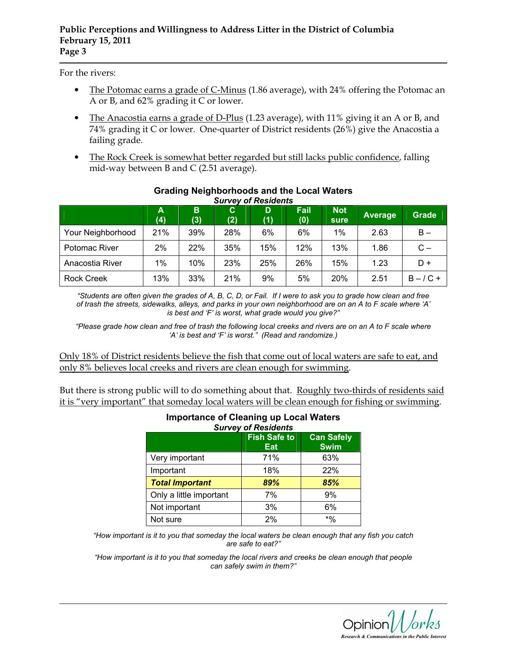For the rivers:

- The Potomac earns a grade of C-Minus (1.86 average), with 24% offering the Potomac an A or B, and 62% grading it C or lower.
- The Anacostia earns a grade of D-Plus (1.23 average), with 11% giving it an A or B, and 74% grading it C or lower. One-quarter of District residents (26%) give the Anacostia a failing grade.
- The Rock Creek is somewhat better regarded but still lacks public confidence, falling mid-way between B and C (2.51 average).

|                   | Α<br>(4) | B<br>(3) | C.<br>(2) | D<br>(1) | Fail<br>(0) | <b>Not</b><br>sure | <b>Average</b> | <b>Grade</b> |
|-------------------|----------|----------|-----------|----------|-------------|--------------------|----------------|--------------|
| Your Neighborhood | 21%      | 39%      | 28%       | 6%       | 6%          | $1\%$              | 2.63           | $B -$        |
| Potomac River     | 2%       | 22%      | 35%       | 15%      | 12%         | 13%                | 1.86           | $C -$        |
| Anacostia River   | 1%       | 10%      | 23%       | 25%      | 26%         | 15%                | 1.23           | $D +$        |
| <b>Rock Creek</b> | 13%      | 33%      | 21%       | 9%       | 5%          | 20%                | 2.51           | $B - / C +$  |

#### Grading Neighborhoods and the Local Waters Survey of Residents

"Students are often given the grades of A, B, C, D, or Fail. If I were to ask you to grade how clean and free of trash the streets, sidewalks, alleys, and parks in your own neighborhood are on an A to F scale where 'A' is best and 'F' is worst, what grade would you give?"

"Please grade how clean and free of trash the following local creeks and rivers are on an A to F scale where 'A' is best and 'F' is worst." (Read and randomize.)

Only 18% of District residents believe the fish that come out of local waters are safe to eat, and only 8% believes local creeks and rivers are clean enough for swimming.

But there is strong public will to do something about that. Roughly two-thirds of residents said it is "very important" that someday local waters will be clean enough for fishing or swimming.

| m<br><b>Survey of Residents</b> |                            |                                  |  |  |  |
|---------------------------------|----------------------------|----------------------------------|--|--|--|
|                                 | <b>Fish Safe to</b><br>Eat | <b>Can Safely</b><br><b>Swim</b> |  |  |  |
| Very important                  | 71%                        | 63%                              |  |  |  |
| Important                       | 18%                        | 22%                              |  |  |  |
| <b>Total Important</b>          | 89%                        | 85%                              |  |  |  |
| Only a little important         | 7%                         | 9%                               |  |  |  |
| Not important                   | 3%                         | 6%                               |  |  |  |
| Not sure                        | 2%                         | $*9/6$                           |  |  |  |

# Importance of Cleaning up Local Waters

"How important is it to you that someday the local waters be clean enough that any fish you catch are safe to eat?"

"How important is it to you that someday the local rivers and creeks be clean enough that people can safely swim in them?"

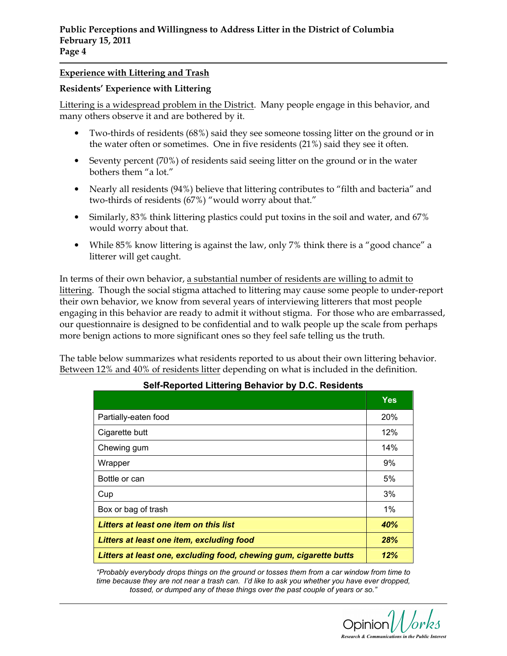## Experience with Littering and Trash

### Residents' Experience with Littering

Littering is a widespread problem in the District. Many people engage in this behavior, and many others observe it and are bothered by it.

- Two-thirds of residents (68%) said they see someone tossing litter on the ground or in the water often or sometimes. One in five residents (21%) said they see it often.
- Seventy percent (70%) of residents said seeing litter on the ground or in the water bothers them "a lot."
- Nearly all residents (94%) believe that littering contributes to "filth and bacteria" and two-thirds of residents (67%) "would worry about that."
- Similarly, 83% think littering plastics could put toxins in the soil and water, and 67% would worry about that.
- While 85% know littering is against the law, only 7% think there is a "good chance" a litterer will get caught.

In terms of their own behavior, a substantial number of residents are willing to admit to littering. Though the social stigma attached to littering may cause some people to under-report their own behavior, we know from several years of interviewing litterers that most people engaging in this behavior are ready to admit it without stigma. For those who are embarrassed, our questionnaire is designed to be confidential and to walk people up the scale from perhaps more benign actions to more significant ones so they feel safe telling us the truth.

The table below summarizes what residents reported to us about their own littering behavior. Between 12% and 40% of residents litter depending on what is included in the definition.

|                                                                    | <b>Yes</b> |
|--------------------------------------------------------------------|------------|
| Partially-eaten food                                               | 20%        |
| Cigarette butt                                                     | 12%        |
| Chewing gum                                                        | 14%        |
| Wrapper                                                            | 9%         |
| Bottle or can                                                      | 5%         |
| Cup                                                                | 3%         |
| Box or bag of trash                                                | 1%         |
| Litters at least one item on this list                             | 40%        |
| Litters at least one item, excluding food                          | 28%        |
| Litters at least one, excluding food, chewing gum, cigarette butts |            |

# Self-Reported Littering Behavior by D.C. Residents

"Probably everybody drops things on the ground or tosses them from a car window from time to time because they are not near a trash can. I'd like to ask you whether you have ever dropped, tossed, or dumped any of these things over the past couple of years or so."

Opinion $\overline{1}$ Research & Communications in the Public Interest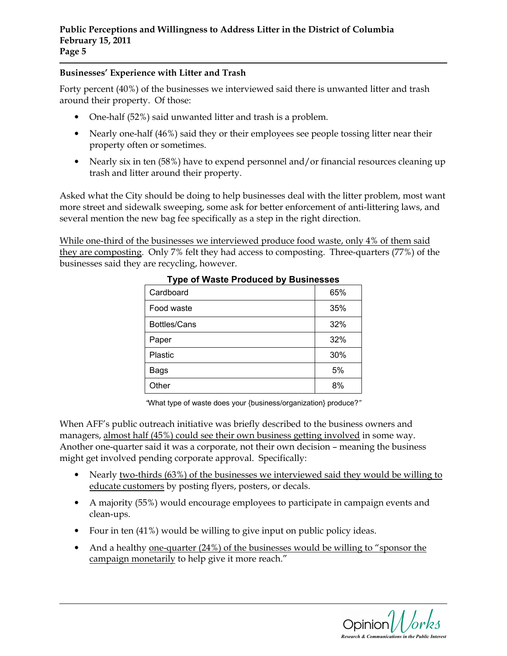## Businesses' Experience with Litter and Trash

Forty percent (40%) of the businesses we interviewed said there is unwanted litter and trash around their property. Of those:

- One-half (52%) said unwanted litter and trash is a problem.
- Nearly one-half (46%) said they or their employees see people tossing litter near their property often or sometimes.
- Nearly six in ten (58%) have to expend personnel and/or financial resources cleaning up trash and litter around their property.

Asked what the City should be doing to help businesses deal with the litter problem, most want more street and sidewalk sweeping, some ask for better enforcement of anti-littering laws, and several mention the new bag fee specifically as a step in the right direction.

While one-third of the businesses we interviewed produce food waste, only 4% of them said they are composting. Only 7% felt they had access to composting. Three-quarters (77%) of the businesses said they are recycling, however.

| iye ol masto i roduccu by Bushicssos |     |  |  |  |
|--------------------------------------|-----|--|--|--|
| Cardboard                            | 65% |  |  |  |
| Food waste                           | 35% |  |  |  |
| Bottles/Cans                         | 32% |  |  |  |
| Paper                                | 32% |  |  |  |
| Plastic                              | 30% |  |  |  |
| <b>Bags</b>                          | 5%  |  |  |  |
| Other                                | 8%  |  |  |  |

## Type of Waste Produced by Businesses

"What type of waste does your {business/organization} produce?"

When AFF's public outreach initiative was briefly described to the business owners and managers, almost half (45%) could see their own business getting involved in some way. Another one-quarter said it was a corporate, not their own decision – meaning the business might get involved pending corporate approval. Specifically:

- Nearly two-thirds (63%) of the businesses we interviewed said they would be willing to educate customers by posting flyers, posters, or decals.
- A majority (55%) would encourage employees to participate in campaign events and clean-ups.
- Four in ten (41%) would be willing to give input on public policy ideas.
- And a healthy one-quarter (24%) of the businesses would be willing to "sponsor the campaign monetarily to help give it more reach."

Opinion $\mathcal{W}$ orks Research & Communications in the Public Interest